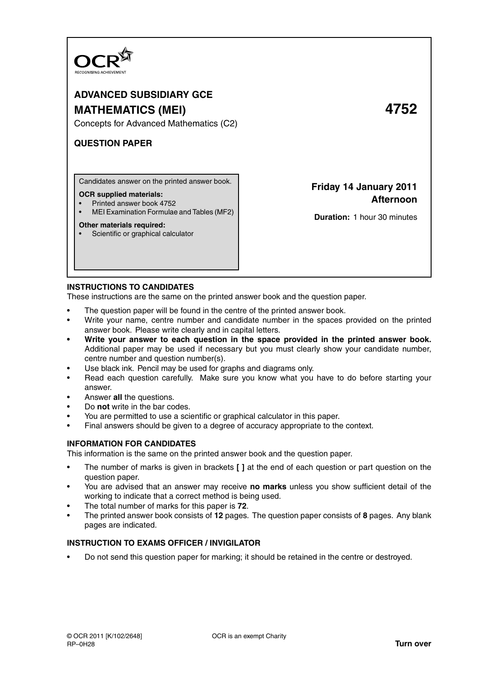

# **ADVANCED SUBSIDIARY GCE MATHEMATICS (MEI) 4752**

Concepts for Advanced Mathematics (C2)

## **QUESTION PAPER**

Candidates answer on the printed answer book.

### **OCR supplied materials:**

- Printed answer book 4752
- MEI Examination Formulae and Tables (MF2)

### **Other materials required:**

• Scientific or graphical calculator

**Friday 14 January 2011 Afternoon**

**Duration:** 1 hour 30 minutes

## **INSTRUCTIONS TO CANDIDATES**

These instructions are the same on the printed answer book and the question paper.

- The question paper will be found in the centre of the printed answer book.
- Write your name, centre number and candidate number in the spaces provided on the printed answer book. Please write clearly and in capital letters.
- **Write your answer to each question in the space provided in the printed answer book.** Additional paper may be used if necessary but you must clearly show your candidate number, centre number and question number(s).
- Use black ink. Pencil may be used for graphs and diagrams only.
- Read each question carefully. Make sure you know what you have to do before starting your answer.
- Answer **all** the questions.
- Do **not** write in the bar codes.
- You are permitted to use a scientific or graphical calculator in this paper.
- Final answers should be given to a degree of accuracy appropriate to the context.

## **INFORMATION FOR CANDIDATES**

This information is the same on the printed answer book and the question paper.

- The number of marks is given in brackets **[ ]** at the end of each question or part question on the question paper.
- You are advised that an answer may receive **no marks** unless you show sufficient detail of the working to indicate that a correct method is being used.
- The total number of marks for this paper is **72**.
- The printed answer book consists of **12** pages. The question paper consists of **8** pages. Any blank pages are indicated.

## **INSTRUCTION TO EXAMS OFFICER / INVIGILATOR**

• Do not send this question paper for marking; it should be retained in the centre or destroyed.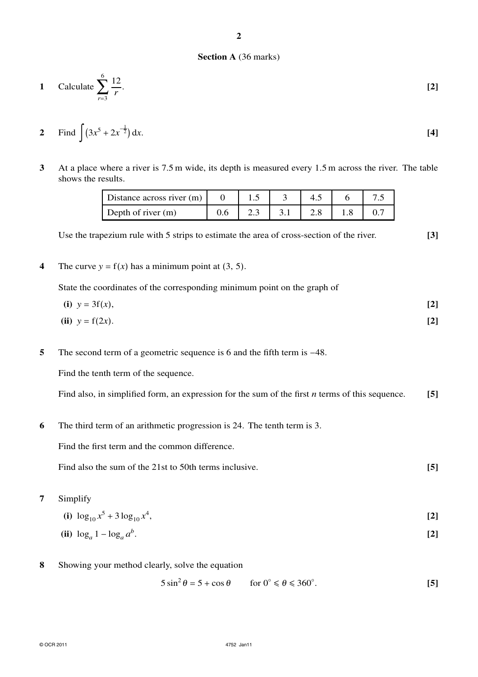## **Section A** (36 marks)

1 Calculate 
$$
\sum_{r=3}^{6} \frac{12}{r}.
$$
 [2]

2 Find 
$$
\int (3x^5 + 2x^{-\frac{1}{2}}) dx
$$
. [4]

**3** At a place where a river is 7.5 m wide, its depth is measured every 1.5 m across the river. The table shows the results.

| Distance across river $(m)$ |  |  |  |
|-----------------------------|--|--|--|
| Depth of river $(m)$        |  |  |  |

Use the trapezium rule with 5 strips to estimate the area of cross-section of the river. **[3]**

**4** The curve  $y = f(x)$  has a minimum point at  $(3, 5)$ .

State the coordinates of the corresponding minimum point on the graph of

| (i) $y = 3f(x)$ ,  | $[2]$ |
|--------------------|-------|
| (ii) $y = f(2x)$ . | $[2]$ |

**5** The second term of a geometric sequence is 6 and the fifth term is −48.

Find the tenth term of the sequence.

Find also, in simplified form, an expression for the sum of the first *n* terms of this sequence. **[5]**

**6** The third term of an arithmetic progression is 24. The tenth term is 3.

Find the first term and the common difference.

Find also the sum of the 21st to 50th terms inclusive. **[5]** 

- **7** Simplify
	- **(i)**  $\log_{10} x^5 + 3 \log_{10} x^4$ , **[2]**
	- **(ii)**  $\log_a 1 \log_a a^b$ . **[2]**
- **8** Showing your method clearly, solve the equation

$$
5\sin^2\theta = 5 + \cos\theta \qquad \text{for } 0^\circ \leq \theta \leq 360^\circ. \tag{5}
$$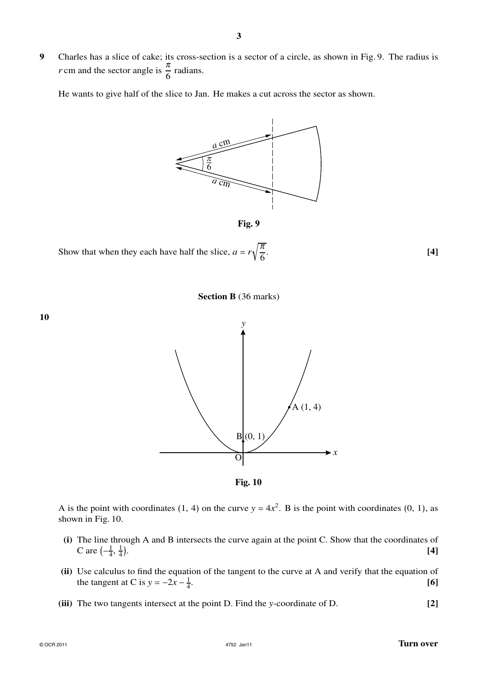**9** Charles has a slice of cake; its cross-section is a sector of a circle, as shown in Fig. 9. The radius is *r* cm and the sector angle is  $\frac{\pi}{6}$  radians.

**3**

He wants to give half of the slice to Jan. He makes a cut across the sector as shown.



**Fig. 9**

Show that when they each have half the slice,  $a = r$  $\sqrt{\pi}$ 6 . **[4]**



**10**



**Fig. 10**

A is the point with coordinates (1, 4) on the curve  $y = 4x^2$ . B is the point with coordinates (0, 1), as shown in Fig. 10.

- **(i)** The line through A and B intersects the curve again at the point C. Show that the coordinates of C are  $\left(-\frac{1}{4}\right)$  $\frac{1}{4}$ ,  $\frac{1}{4}$ 4 . **[4]**
- **(ii)** Use calculus to find the equation of the tangent to the curve at A and verify that the equation of the tangent at C is  $y = -2x - \frac{1}{4}$ 4 . **[6]**
- **(iii)** The two tangents intersect at the point D. Find the *y*-coordinate of D. **[2]**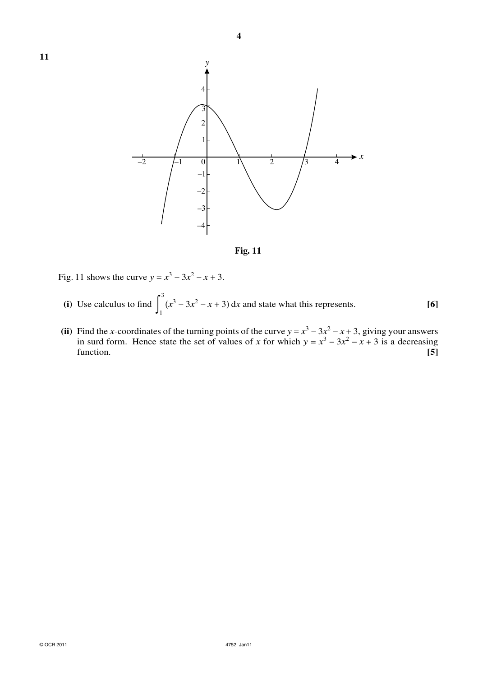



Fig. 11 shows the curve  $y = x^3 - 3x^2 - x + 3$ .

- $(i)$  Use calculus to find  $\left| \right|$ 3  $(x^3 - 3x^2 - x + 3)$  dx and state what this represents. **[6]**
- (ii) Find the *x*-coordinates of the turning points of the curve  $y = x^3 3x^2 x + 3$ , giving your answers in surd form. Hence state the set of values of *x* for which  $y = x^3 - 3x^2 - x + 3$  is a decreasing function. **[5]**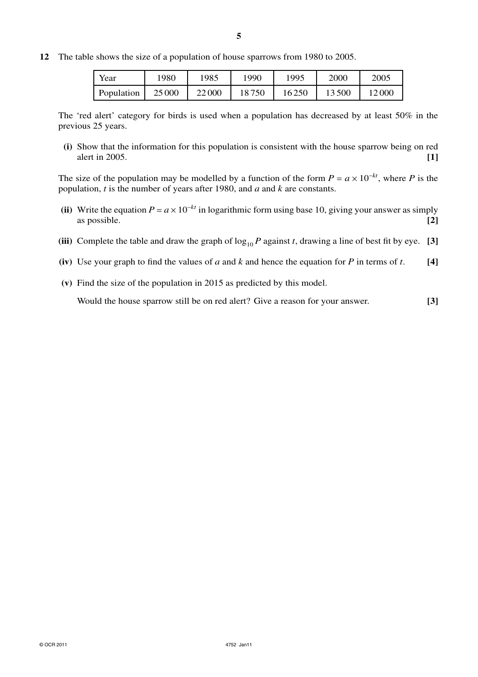**12** The table shows the size of a population of house sparrows from 1980 to 2005.

| Year       | 1980   | 1985   | !990  | 1995  | 2000  | 2005   |
|------------|--------|--------|-------|-------|-------|--------|
| Population | 25 000 | 22 000 | 18750 | 16250 | 13500 | 12 000 |

The 'red alert' category for birds is used when a population has decreased by at least 50% in the previous 25 years.

**(i)** Show that the information for this population is consistent with the house sparrow being on red alert in 2005. **[1]**

The size of the population may be modelled by a function of the form  $P = a \times 10^{-kt}$ , where *P* is the population, *t* is the number of years after 1980, and *a* and *k* are constants.

- (ii) Write the equation  $P = a \times 10^{-kt}$  in logarithmic form using base 10, giving your answer as simply as possible. **[2]**
- (iii) Complete the table and draw the graph of  $\log_{10} P$  against *t*, drawing a line of best fit by eye. [3]
- **(iv)** Use your graph to find the values of *a* and *k* and hence the equation for *P* in terms of *t*. **[4]**
- **(v)** Find the size of the population in 2015 as predicted by this model.

Would the house sparrow still be on red alert? Give a reason for your answer. **[3]**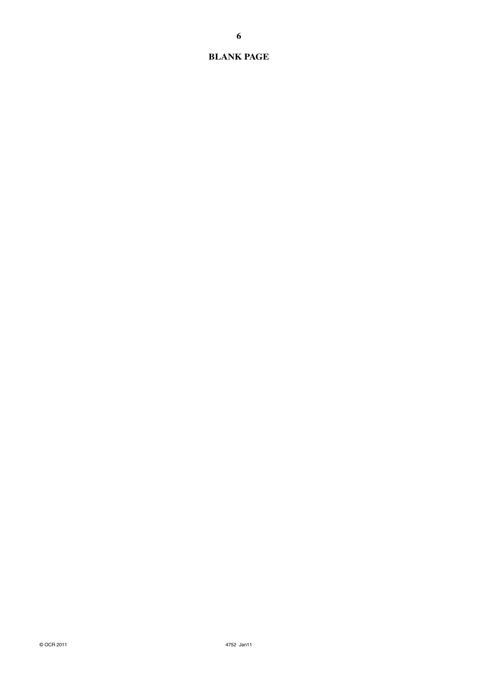## **BLANK PAGE**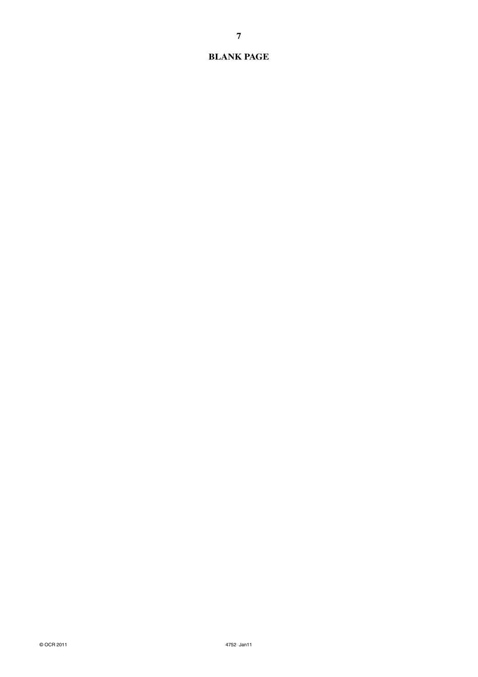## **BLANK PAGE**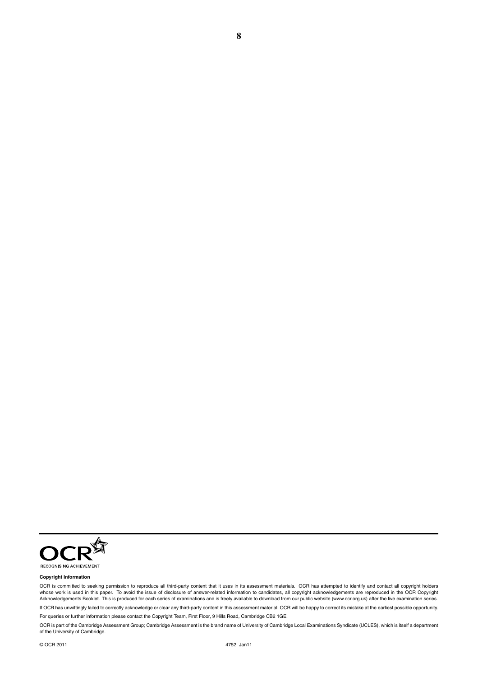

#### **Copyright Information**

OCR is committed to seeking permission to reproduce all third-party content that it uses in its assessment materials. OCR has attempted to identify and contact all copyright holders whose work is used in this paper. To avoid the issue of disclosure of answer-related information to candidates, all copyright acknowledgements are reproduced in the OCR Copyright Acknowledgements Booklet. This is produced for each series of examinations and is freely available to download from our public website (www.ocr.org.uk) after the live examination series.

**8**

If OCR has unwittingly failed to correctly acknowledge or clear any third-party content in this assessment material, OCR will be happy to correct its mistake at the earliest possible opportunity. For queries or further information please contact the Copyright Team, First Floor, 9 Hills Road, Cambridge CB2 1GE.

OCR is part of the Cambridge Assessment Group; Cambridge Assessment is the brand name of University of Cambridge Local Examinations Syndicate (UCLES), which is itself a department of the University of Cambridge.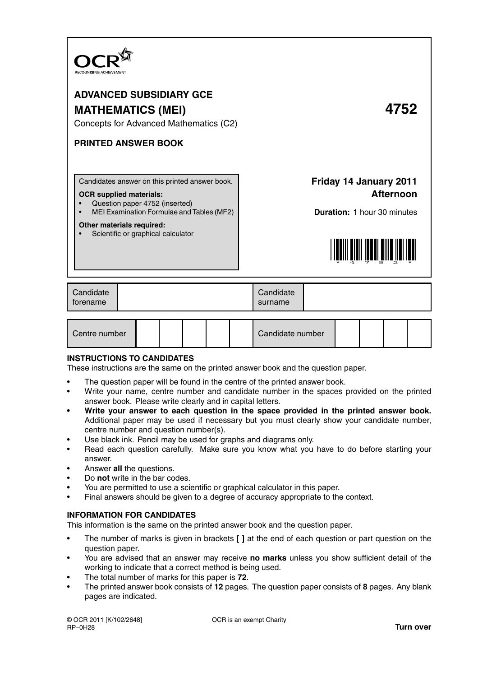

# **ADVANCED SUBSIDIARY GCE MATHEMATICS (MEI) 4752**

Concepts for Advanced Mathematics (C2)

## **PRINTED ANSWER BOOK**

Candidates answer on this printed answer book.

### **OCR supplied materials:**

- Question paper 4752 (inserted)
- MEI Examination Formulae and Tables (MF2)

### **Other materials required:**

Scientific or graphical calculator

## **Friday 14 January 2011 Afternoon**

**Duration:** 1 hour 30 minutes



| Candidate<br>torename | Candidate<br>surname |  |
|-----------------------|----------------------|--|
|                       |                      |  |

| Centre number |  |  |  |  |  | Candidate number |  |  |  |  |
|---------------|--|--|--|--|--|------------------|--|--|--|--|
|---------------|--|--|--|--|--|------------------|--|--|--|--|

## **INSTRUCTIONS TO CANDIDATES**

These instructions are the same on the printed answer book and the question paper.

- The question paper will be found in the centre of the printed answer book.
- Write your name, centre number and candidate number in the spaces provided on the printed answer book. Please write clearly and in capital letters.
- **Write your answer to each question in the space provided in the printed answer book.** Additional paper may be used if necessary but you must clearly show your candidate number, centre number and question number(s).
- Use black ink. Pencil may be used for graphs and diagrams only.
- Read each question carefully. Make sure you know what you have to do before starting your answer.
- Answer **all** the questions.
- Do **not** write in the bar codes.
- You are permitted to use a scientific or graphical calculator in this paper.
- Final answers should be given to a degree of accuracy appropriate to the context.

## **INFORMATION FOR CANDIDATES**

This information is the same on the printed answer book and the question paper.

- The number of marks is given in brackets **[ ]** at the end of each question or part question on the question paper.
- You are advised that an answer may receive **no marks** unless you show sufficient detail of the working to indicate that a correct method is being used.
- The total number of marks for this paper is **72**.
- The printed answer book consists of **12** pages. The question paper consists of **8** pages. Any blank pages are indicated.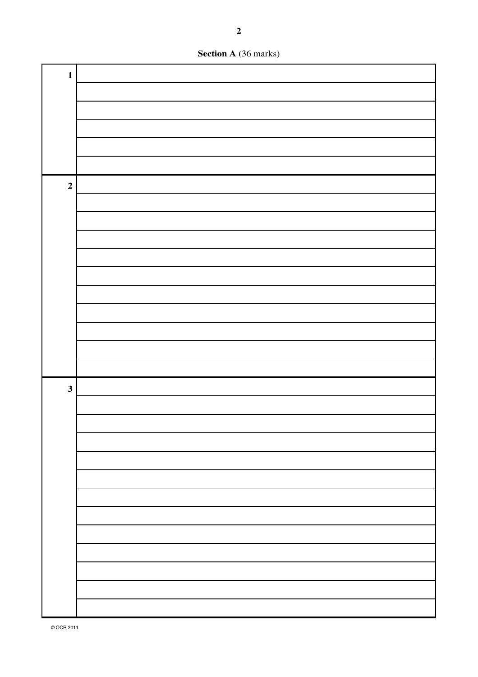

| $\mathbf 1$             |  |
|-------------------------|--|
|                         |  |
|                         |  |
|                         |  |
|                         |  |
|                         |  |
|                         |  |
| $\overline{\mathbf{c}}$ |  |
|                         |  |
|                         |  |
|                         |  |
|                         |  |
|                         |  |
|                         |  |
|                         |  |
|                         |  |
|                         |  |
|                         |  |
| $\overline{\mathbf{3}}$ |  |
|                         |  |
|                         |  |
|                         |  |
|                         |  |
|                         |  |
|                         |  |
|                         |  |
|                         |  |
|                         |  |
|                         |  |
|                         |  |
|                         |  |
|                         |  |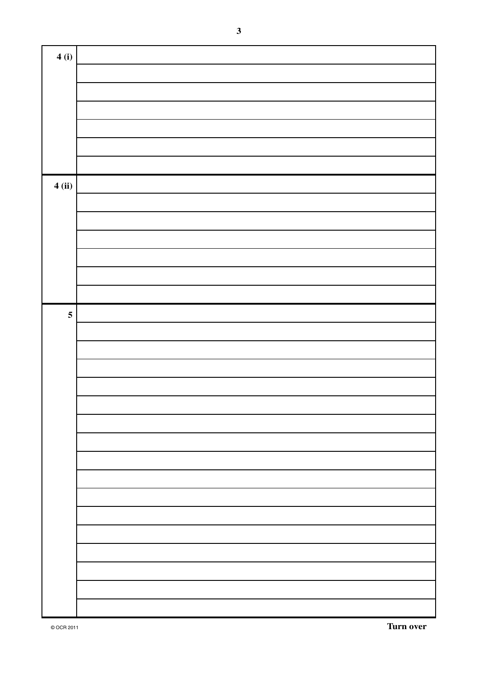| 4(i)                    |  |
|-------------------------|--|
|                         |  |
|                         |  |
|                         |  |
|                         |  |
|                         |  |
|                         |  |
|                         |  |
|                         |  |
| 4(ii)                   |  |
|                         |  |
|                         |  |
|                         |  |
|                         |  |
|                         |  |
|                         |  |
|                         |  |
|                         |  |
| $\overline{\mathbf{5}}$ |  |
|                         |  |
|                         |  |
|                         |  |
|                         |  |
|                         |  |
|                         |  |
|                         |  |
|                         |  |
|                         |  |
|                         |  |
|                         |  |
|                         |  |
|                         |  |
|                         |  |
|                         |  |
|                         |  |
|                         |  |
|                         |  |
|                         |  |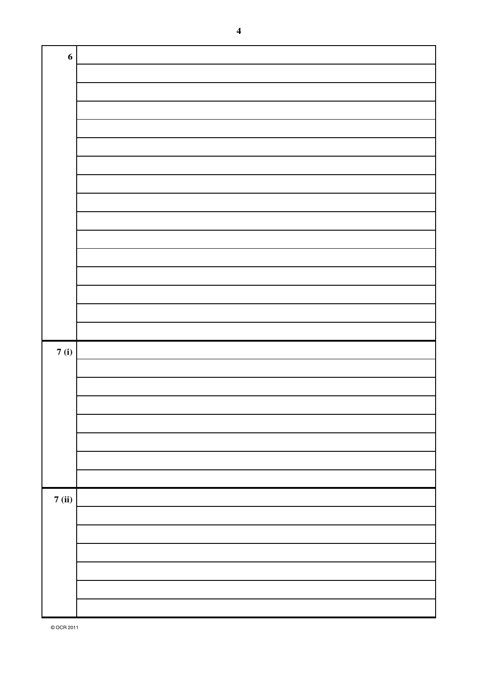| $\boldsymbol{6}$ |  |
|------------------|--|
|                  |  |
|                  |  |
|                  |  |
|                  |  |
|                  |  |
|                  |  |
|                  |  |
|                  |  |
|                  |  |
|                  |  |
|                  |  |
|                  |  |
|                  |  |
|                  |  |
|                  |  |
| 7(i)             |  |
|                  |  |
|                  |  |
|                  |  |
|                  |  |
|                  |  |
|                  |  |
|                  |  |
| 7(ii)            |  |
|                  |  |
|                  |  |
|                  |  |
|                  |  |
|                  |  |
|                  |  |
|                  |  |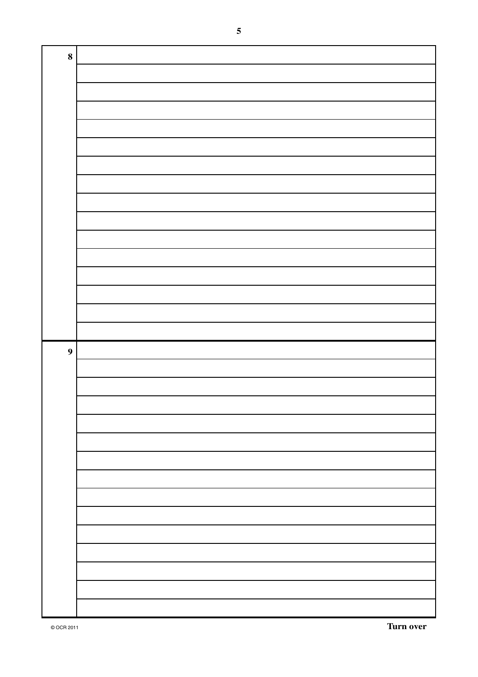| $\bf{8}$         |  |
|------------------|--|
|                  |  |
|                  |  |
|                  |  |
|                  |  |
|                  |  |
|                  |  |
|                  |  |
|                  |  |
|                  |  |
|                  |  |
|                  |  |
|                  |  |
|                  |  |
|                  |  |
|                  |  |
|                  |  |
|                  |  |
|                  |  |
| $\boldsymbol{9}$ |  |
|                  |  |
|                  |  |
|                  |  |
|                  |  |
|                  |  |
|                  |  |
|                  |  |
|                  |  |
|                  |  |
|                  |  |
|                  |  |
|                  |  |
|                  |  |
|                  |  |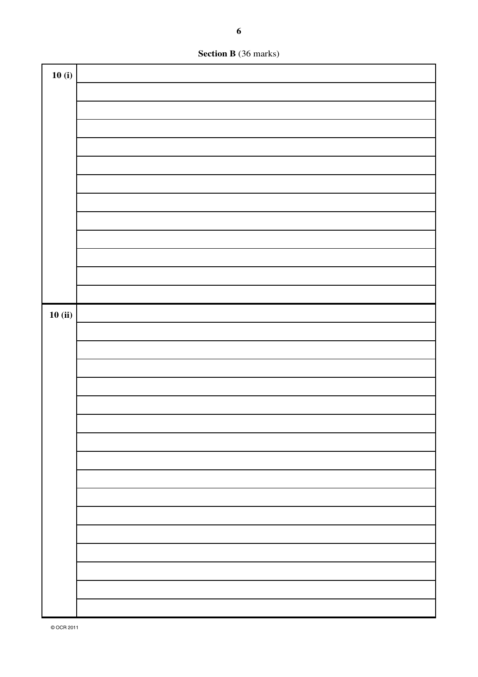**Section B** (36 marks)

| 10(i)  |  |
|--------|--|
|        |  |
|        |  |
|        |  |
|        |  |
|        |  |
|        |  |
|        |  |
|        |  |
|        |  |
|        |  |
|        |  |
|        |  |
|        |  |
|        |  |
| 10(ii) |  |
|        |  |
|        |  |
|        |  |
|        |  |
|        |  |
|        |  |
|        |  |
|        |  |
|        |  |
|        |  |
|        |  |
|        |  |
|        |  |
|        |  |
|        |  |
|        |  |
|        |  |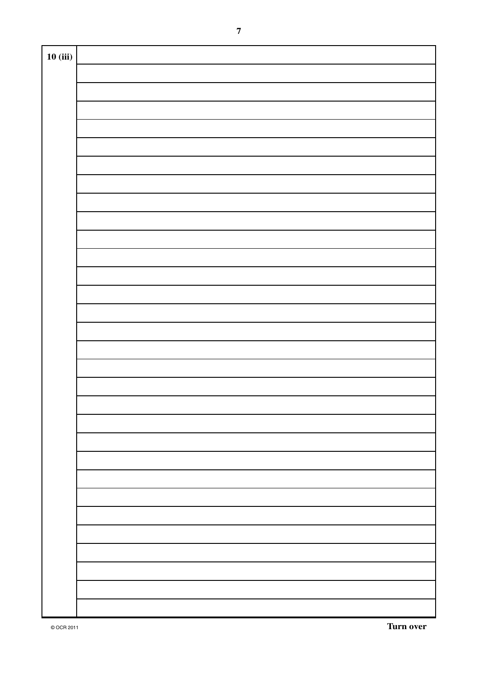| 10(iii) |  |
|---------|--|
|         |  |
|         |  |
|         |  |
|         |  |
|         |  |
|         |  |
|         |  |
|         |  |
|         |  |
|         |  |
|         |  |
|         |  |
|         |  |
|         |  |
|         |  |
|         |  |
|         |  |
|         |  |
|         |  |
|         |  |
|         |  |
|         |  |
|         |  |
|         |  |
|         |  |
|         |  |
|         |  |
|         |  |
|         |  |
|         |  |
|         |  |
|         |  |
|         |  |
|         |  |
|         |  |
|         |  |
|         |  |
|         |  |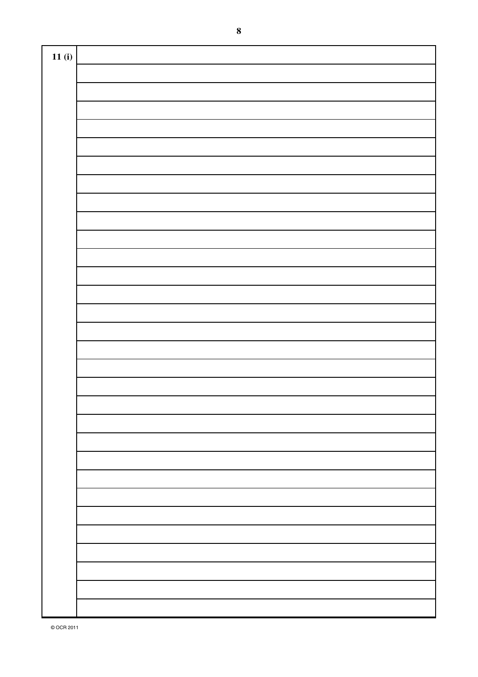| 11(i) |  |
|-------|--|
|       |  |
|       |  |
|       |  |
|       |  |
|       |  |
|       |  |
|       |  |
|       |  |
|       |  |
|       |  |
|       |  |
|       |  |
|       |  |
|       |  |
|       |  |
|       |  |
|       |  |
|       |  |
|       |  |
|       |  |
|       |  |
|       |  |
|       |  |
|       |  |
|       |  |
|       |  |
|       |  |
|       |  |
|       |  |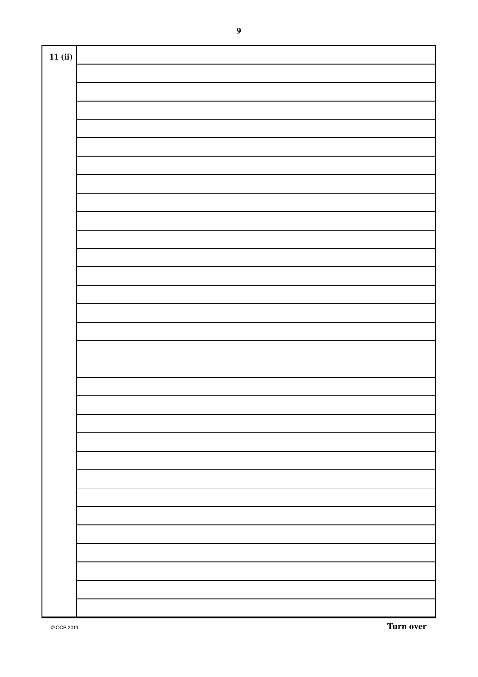| 11(ii) |  |
|--------|--|
|        |  |
|        |  |
|        |  |
|        |  |
|        |  |
|        |  |
|        |  |
|        |  |
|        |  |
|        |  |
|        |  |
|        |  |
|        |  |
|        |  |
|        |  |
|        |  |
|        |  |
|        |  |
|        |  |
|        |  |
|        |  |
|        |  |
|        |  |
|        |  |
|        |  |
|        |  |
|        |  |
|        |  |
|        |  |
|        |  |
|        |  |
|        |  |
|        |  |
|        |  |
|        |  |
|        |  |
|        |  |
|        |  |
|        |  |
|        |  |
|        |  |
|        |  |
|        |  |
|        |  |
|        |  |
|        |  |
|        |  |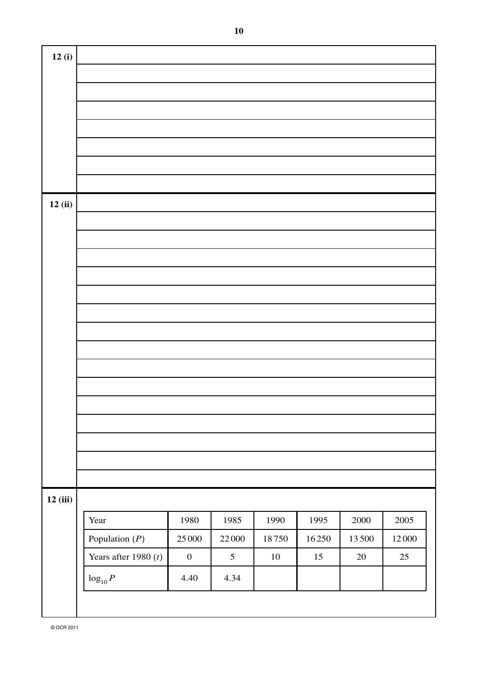| 12(i)   |                        |                  |           |           |           |           |           |
|---------|------------------------|------------------|-----------|-----------|-----------|-----------|-----------|
|         |                        |                  |           |           |           |           |           |
|         |                        |                  |           |           |           |           |           |
|         |                        |                  |           |           |           |           |           |
|         |                        |                  |           |           |           |           |           |
|         |                        |                  |           |           |           |           |           |
|         |                        |                  |           |           |           |           |           |
|         |                        |                  |           |           |           |           |           |
| 12(i)   |                        |                  |           |           |           |           |           |
|         |                        |                  |           |           |           |           |           |
|         |                        |                  |           |           |           |           |           |
|         |                        |                  |           |           |           |           |           |
|         |                        |                  |           |           |           |           |           |
|         |                        |                  |           |           |           |           |           |
|         |                        |                  |           |           |           |           |           |
|         |                        |                  |           |           |           |           |           |
|         |                        |                  |           |           |           |           |           |
|         |                        |                  |           |           |           |           |           |
|         |                        |                  |           |           |           |           |           |
|         |                        |                  |           |           |           |           |           |
|         |                        |                  |           |           |           |           |           |
|         |                        |                  |           |           |           |           |           |
|         |                        |                  |           |           |           |           |           |
|         |                        |                  |           |           |           |           |           |
| 12(iii) |                        |                  |           |           |           |           |           |
|         | Year                   | 1980             | 1985      | 1990      | 1995      | 2000      | 2005      |
|         | Population $(P)$       | 25 000           | $22\,000$ | $18\,750$ | $16\,250$ | $13\,500$ | $12\,000$ |
|         | Years after 1980 $(t)$ | $\boldsymbol{0}$ | 5         | $10\,$    | 15        | $20\,$    | 25        |
|         | $\log_{10} P$          | 4.40             | 4.34      |           |           |           |           |
|         |                        |                  |           |           |           |           |           |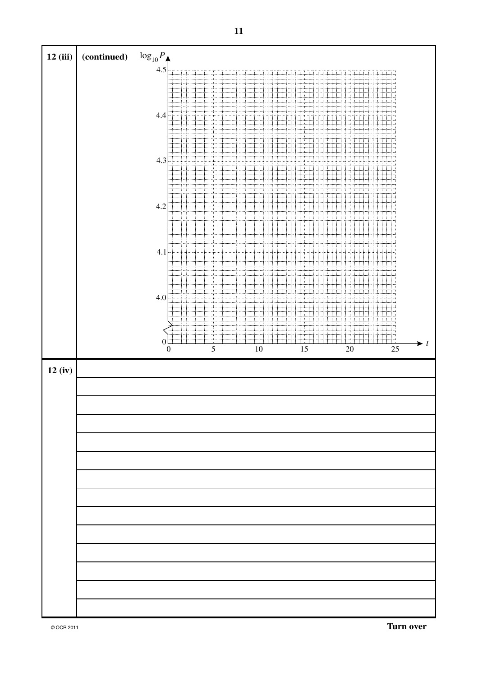